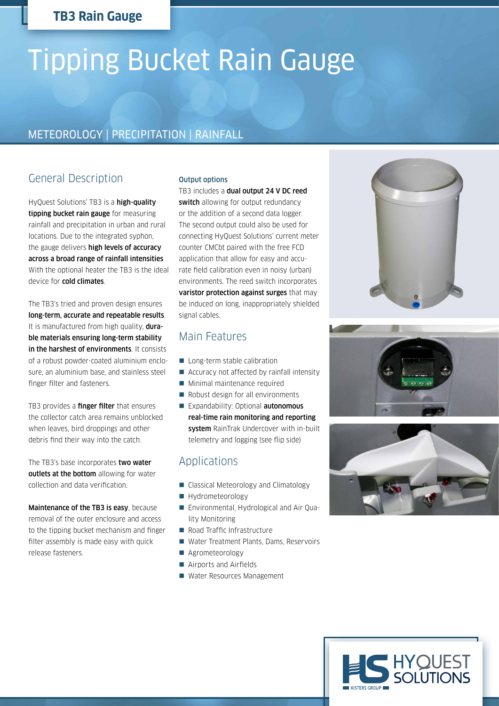# **TB3 Rain Gauge**

# Tipping Bucket Rain Gauge

# METEOROLOGY | PRECIPITATION | RAINFALL

# General Description

HyQuest Solutions' TB3 is a high-quality tipping bucket rain gauge for measuring rainfall and precipitation in urban and rural locations. Due to the integrated syphon, the gauge delivers high levels of accuracy across a broad range of rainfall intensities With the optional heater the TB3 is the ideal device for cold climates.

The TB3's tried and proven design ensures long-term, accurate and repeatable results. It is manufactured from high quality, **dura**ble materials ensuring long-term stability in the harshest of environments. It consists of a robust powder-coated aluminium enclosure, an aluminium base, and stainless steel finger filter and fasteners.

TB3 provides a finger filter that ensures the collector catch area remains unblocked when leaves, bird droppings and other debris find their way into the catch.

The TB3's base incorporates two water outlets at the bottom allowing for water collection and data verification.

Maintenance of the TB3 is easy, because removal of the outer enclosure and access to the tipping bucket mechanism and finger filter assembly is made easy with quick release fasteners.

#### Output options

TB3 includes a dual output 24 V DC reed switch allowing for output redundancy or the addition of a second data logger. The second output could also be used for connecting HyQuest Solutions' current meter counter CMCbt paired with the free FCD application that allow for easy and accurate field calibration even in noisy (urban) environments. The reed switch incorporates varistor protection against surges that may be induced on long, inappropriately shielded signal cables.

#### Main Features

- Long-term stable calibration
- Accuracy not affected by rainfall intensity
- **Minimal maintenance required**
- Robust design for all environments
- Expandability: Optional **autonomous** real-time rain monitoring and reporting system RainTrak Undercover with in-built telemetry and logging (see flip side)

### Applications

- Classical Meteorology and Climatology
- Hydrometeorology
- Environmental, Hydrological and Air Quality Monitoring
- Road Traffic Infrastructure
- Water Treatment Plants, Dams, Reservoirs
- Agrometeorology
- Airports and Airfields
- Water Resources Management